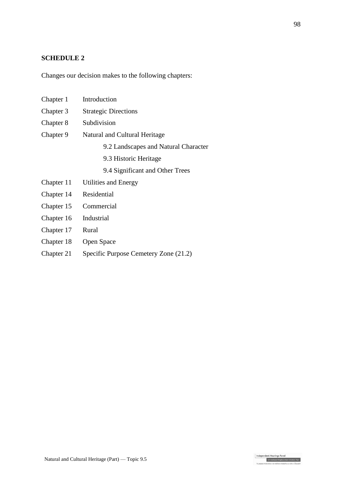## **SCHEDULE 2**

Changes our decision makes to the following chapters:

| Chapter 1  | Introduction                         |  |
|------------|--------------------------------------|--|
| Chapter 3  | <b>Strategic Directions</b>          |  |
| Chapter 8  | Subdivision                          |  |
| Chapter 9  | Natural and Cultural Heritage        |  |
|            | 9.2 Landscapes and Natural Character |  |
|            | 9.3 Historic Heritage                |  |
|            | 9.4 Significant and Other Trees      |  |
| Chapter 11 | Utilities and Energy                 |  |
| Chapter 14 | Residential                          |  |
| Chapter 15 | Commercial                           |  |
| Chapter 16 | Industrial                           |  |
| Chapter 17 | Rural                                |  |
| Chapter 18 | Open Space                           |  |
|            |                                      |  |

Chapter 21 Specific Purpose Cemetery Zone (21.2)

Independent Hearings Panel<br>Christchurch Replacement District Plan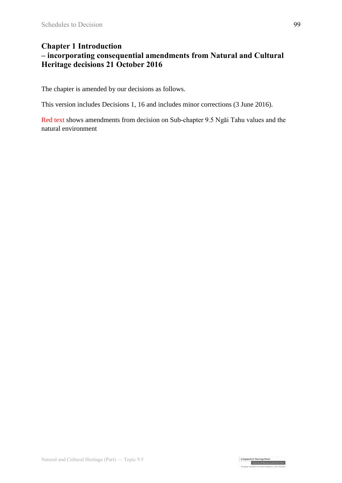## **Chapter 1 Introduction**

## **– incorporating consequential amendments from Natural and Cultural Heritage decisions 21 October 2016**

The chapter is amended by our decisions as follows.

This version includes Decisions 1, 16 and includes minor corrections (3 June 2016).

Red text shows amendments from decision on Sub-chapter 9.5 Ngāi Tahu values and the natural environment

Independent Hearings Panel<br>Christchurch Replacement District Plan<br>Te oaeaee motubake o te mahere whatahou a robe o Otautah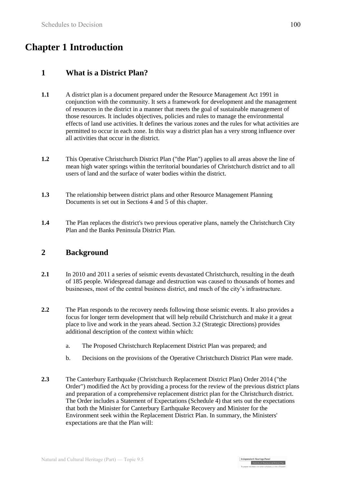# **Chapter 1 Introduction**

## **1 What is a District Plan?**

- **1.1** A district plan is a document prepared under the Resource Management Act 1991 in conjunction with the community. It sets a framework for development and the management of resources in the district in a manner that meets the goal of sustainable management of those resources. It includes objectives, policies and rules to manage the environmental effects of land use activities. It defines the various zones and the rules for what activities are permitted to occur in each zone. In this way a district plan has a very strong influence over all activities that occur in the district.
- **1.2** This Operative Christchurch District Plan ("the Plan") applies to all areas above the line of mean high water springs within the territorial boundaries of Christchurch district and to all users of land and the surface of water bodies within the district.
- **1.3** The relationship between district plans and other Resource Management Planning Documents is set out in Sections 4 and 5 of this chapter.
- **1.4** The Plan replaces the district's two previous operative plans, namely the Christchurch City Plan and the Banks Peninsula District Plan.

## **2 Background**

- **2.1** In 2010 and 2011 a series of seismic events devastated Christchurch, resulting in the death of 185 people. Widespread damage and destruction was caused to thousands of homes and businesses, most of the central business district, and much of the city's infrastructure.
- **2.2** The Plan responds to the recovery needs following those seismic events. It also provides a focus for longer term development that will help rebuild Christchurch and make it a great place to live and work in the years ahead. Section 3.2 (Strategic Directions) provides additional description of the context within which:
	- a. The Proposed Christchurch Replacement District Plan was prepared; and
	- b. Decisions on the provisions of the Operative Christchurch District Plan were made.
- **2.3** The Canterbury Earthquake (Christchurch Replacement District Plan) Order 2014 ("the Order") modified the Act by providing a process for the review of the previous district plans and preparation of a comprehensive replacement district plan for the Christchurch district. The Order includes a Statement of Expectations (Schedule 4) that sets out the expectations that both the Minister for Canterbury Earthquake Recovery and Minister for the Environment seek within the Replacement District Plan. In summary, the Ministers' expectations are that the Plan will:

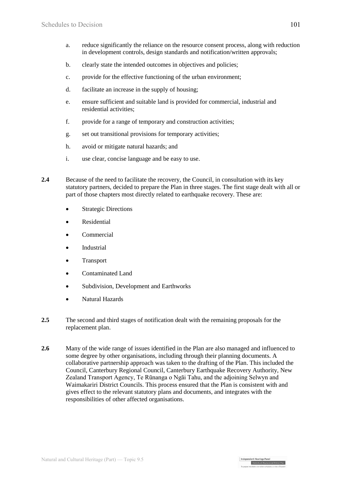- a. reduce significantly the reliance on the resource consent process, along with reduction in development controls, design standards and notification/written approvals;
- b. clearly state the intended outcomes in objectives and policies;
- c. provide for the effective functioning of the urban environment;
- d. facilitate an increase in the supply of housing;
- e. ensure sufficient and suitable land is provided for commercial, industrial and residential activities;
- f. provide for a range of temporary and construction activities;
- g. set out transitional provisions for temporary activities;
- h. avoid or mitigate natural hazards; and
- i. use clear, concise language and be easy to use.
- **2.4** Because of the need to facilitate the recovery, the Council, in consultation with its key statutory partners, decided to prepare the Plan in three stages. The first stage dealt with all or part of those chapters most directly related to earthquake recovery. These are:
	- Strategic Directions
	- Residential
	- Commercial
	- Industrial
	- Transport
	- Contaminated Land
	- Subdivision, Development and Earthworks
	- Natural Hazards
- **2.5** The second and third stages of notification dealt with the remaining proposals for the replacement plan.
- **2.6** Many of the wide range of issues identified in the Plan are also managed and influenced to some degree by other organisations, including through their planning documents. A collaborative partnership approach was taken to the drafting of the Plan. This included the Council, Canterbury Regional Council, Canterbury Earthquake Recovery Authority, New Zealand Transport Agency, Te Rūnanga o Ngāi Tahu, and the adjoining Selwyn and Waimakariri District Councils. This process ensured that the Plan is consistent with and gives effect to the relevant statutory plans and documents, and integrates with the responsibilities of other affected organisations.

Independent Hearings Pane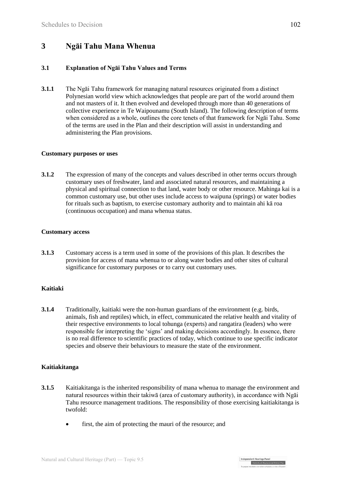## **3 Ngāi Tahu Mana Whenua**

#### **3.1 Explanation of Ngāi Tahu Values and Terms**

**3.1.1** The Ngāi Tahu framework for managing natural resources originated from a distinct Polynesian world view which acknowledges that people are part of the world around them and not masters of it. It then evolved and developed through more than 40 generations of collective experience in Te Waipounamu (South Island). The following description of terms when considered as a whole, outlines the core tenets of that framework for Ngāi Tahu. Some of the terms are used in the Plan and their description will assist in understanding and administering the Plan provisions.

#### **Customary purposes or uses**

**3.1.2** The expression of many of the concepts and values described in other terms occurs through customary uses of freshwater, land and associated natural resources, and maintaining a physical and spiritual connection to that land, water body or other resource. Mahinga kai is a common customary use, but other uses include access to waipuna (springs) or water bodies for rituals such as baptism, to exercise customary authority and to maintain ahi kā roa (continuous occupation) and mana whenua status.

#### **Customary access**

**3.1.3** Customary access is a term used in some of the provisions of this plan. It describes the provision for access of mana whenua to or along water bodies and other sites of cultural significance for customary purposes or to carry out customary uses.

#### **Kaitiaki**

**3.1.4** Traditionally, kaitiaki were the non-human guardians of the environment (e.g. birds, animals, fish and reptiles) which, in effect, communicated the relative health and vitality of their respective environments to local tohunga (experts) and rangatira (leaders) who were responsible for interpreting the 'signs' and making decisions accordingly. In essence, there is no real difference to scientific practices of today, which continue to use specific indicator species and observe their behaviours to measure the state of the environment.

#### **Kaitiakitanga**

- **3.1.5** Kaitiakitanga is the inherited responsibility of mana whenua to manage the environment and natural resources within their takiwā (area of customary authority), in accordance with Ngāi Tahu resource management traditions. The responsibility of those exercising kaitiakitanga is twofold:
	- first, the aim of protecting the mauri of the resource; and

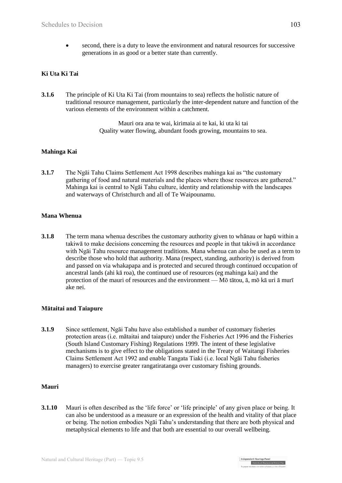second, there is a duty to leave the environment and natural resources for successive generations in as good or a better state than currently.

### **Ki Uta Ki Tai**

**3.1.6** The principle of Ki Uta Ki Tai (from mountains to sea) reflects the holistic nature of traditional resource management, particularly the inter-dependent nature and function of the various elements of the environment within a catchment.

> Mauri ora ana te wai, kirimaia ai te kai, ki uta ki tai Quality water flowing, abundant foods growing, mountains to sea.

#### **Mahinga Kai**

**3.1.7** The Ngāi Tahu Claims Settlement Act 1998 describes mahinga kai as "the customary gathering of food and natural materials and the places where those resources are gathered." Mahinga kai is central to Ngāi Tahu culture, identity and relationship with the landscapes and waterways of Christchurch and all of Te Waipounamu.

#### **Mana Whenua**

**3.1.8** The term mana whenua describes the customary authority given to whānau or hapū within a takiwā to make decisions concerning the resources and people in that takiwā in accordance with Ngāi Tahu resource management traditions. Mana whenua can also be used as a term to describe those who hold that authority. Mana (respect, standing, authority) is derived from and passed on via whakapapa and is protected and secured through continued occupation of ancestral lands (ahi kā roa), the continued use of resources (eg mahinga kai) and the protection of the mauri of resources and the environment — Mō tātou, ā, mō kā uri ā murī ake nei.

#### **Mātaitai and Taiapure**

**3.1.9** Since settlement, Ngāi Tahu have also established a number of customary fisheries protection areas (i.e. mātaitai and taiapure) under the Fisheries Act 1996 and the Fisheries (South Island Customary Fishing) Regulations 1999. The intent of these legislative mechanisms is to give effect to the obligations stated in the Treaty of Waitangi Fisheries Claims Settlement Act 1992 and enable Tangata Tiaki (i.e. local Ngāi Tahu fisheries managers) to exercise greater rangatiratanga over customary fishing grounds.

#### **Mauri**

**3.1.10** Mauri is often described as the 'life force' or 'life principle' of any given place or being. It can also be understood as a measure or an expression of the health and vitality of that place or being. The notion embodies Ngāi Tahu's understanding that there are both physical and metaphysical elements to life and that both are essential to our overall wellbeing.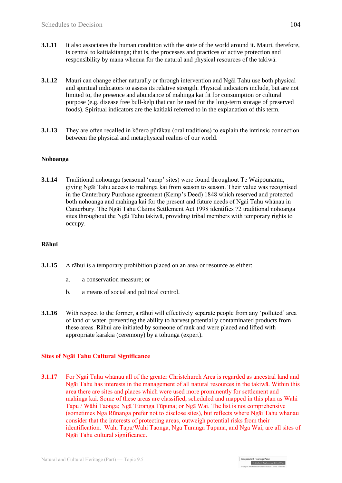- **3.1.11** It also associates the human condition with the state of the world around it. Mauri, therefore, is central to kaitiakitanga; that is, the processes and practices of active protection and responsibility by mana whenua for the natural and physical resources of the takiwā.
- **3.1.12** Mauri can change either naturally or through intervention and Ngāi Tahu use both physical and spiritual indicators to assess its relative strength. Physical indicators include, but are not limited to, the presence and abundance of mahinga kai fit for consumption or cultural purpose (e.g. disease free bull-kelp that can be used for the long-term storage of preserved foods). Spiritual indicators are the kaitiaki referred to in the explanation of this term.
- **3.1.13** They are often recalled in kōrero pūrākau (oral traditions) to explain the intrinsic connection between the physical and metaphysical realms of our world.

#### **Nohoanga**

**3.1.14** Traditional nohoanga (seasonal 'camp' sites) were found throughout Te Waipounamu, giving Ngāi Tahu access to mahinga kai from season to season. Their value was recognised in the Canterbury Purchase agreement (Kemp's Deed) 1848 which reserved and protected both nohoanga and mahinga kai for the present and future needs of Ngāi Tahu whānau in Canterbury. The Ngāi Tahu Claims Settlement Act 1998 identifies 72 traditional nohoanga sites throughout the Ngāi Tahu takiwā, providing tribal members with temporary rights to occupy.

#### **Rāhui**

- **3.1.15** A rāhui is a temporary prohibition placed on an area or resource as either:
	- a. a conservation measure; or
	- b. a means of social and political control.
- **3.1.16** With respect to the former, a rāhui will effectively separate people from any 'polluted' area of land or water, preventing the ability to harvest potentially contaminated products from these areas. Rāhui are initiated by someone of rank and were placed and lifted with appropriate karakia (ceremony) by a tohunga (expert).

#### **Sites of Ngāi Tahu Cultural Significance**

**3.1.17** For Ngai Tahu whānau all of the greater Christchurch Area is regarded as ancestral land and Ngāi Tahu has interests in the management of all natural resources in the takiwā. Within this area there are sites and places which were used more prominently for settlement and mahinga kai. Some of these areas are classified, scheduled and mapped in this plan as Wāhi Tapu / Wāhi Taonga; Ngā Tūranga Tūpuna; or Ngā Wai. The list is not comprehensive (sometimes Nga Rūnanga prefer not to disclose sites), but reflects where Ngāi Tahu whanau consider that the interests of protecting areas, outweigh potential risks from their identification. Wāhi Tapu/Wāhi Taonga, Nga Tūranga Tupuna, and Ngā Wai, are all sites of Ngāi Tahu cultural significance.

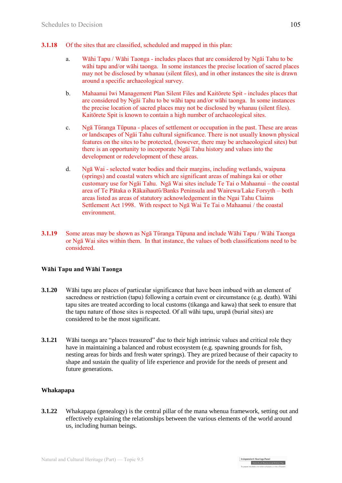- **3.1.18** Of the sites that are classified, scheduled and mapped in this plan:
	- a. Wāhi Tapu / Wāhi Taonga includes places that are considered by Ngāi Tahu to be wāhi tapu and/or wāhi taonga. In some instances the precise location of sacred places may not be disclosed by whanau (silent files), and in other instances the site is drawn around a specific archaeological survey.
	- b. Mahaanui Iwi Management Plan Silent Files and Kaitōrete Spit includes places that are considered by Ngāi Tahu to be wāhi tapu and/or wāhi taonga. In some instances the precise location of sacred places may not be disclosed by whanau (silent files). Kaitōrete Spit is known to contain a high number of archaeological sites.
	- c. Ngā Tῡranga Tūpuna places of settlement or occupation in the past. These are areas or landscapes of Ngāi Tahu cultural significance. There is not usually known physical features on the sites to be protected, (however, there may be archaeological sites) but there is an opportunity to incorporate Ngāi Tahu history and values into the development or redevelopment of these areas.
	- d. Ngā Wai selected water bodies and their margins, including wetlands, waipuna (springs) and coastal waters which are significant areas of mahinga kai or other customary use for Ngāi Tahu. Ngā Wai sites include Te Tai o Mahaanui – the coastal area of Te Pātaka o Rākaihautī/Banks Peninsula and Wairewa/Lake Forsyth – both areas listed as areas of statutory acknowledgement in the Ngai Tahu Claims Settlement Act 1998. With respect to Ngā Wai Te Tai o Mahaanui / the coastal environment.
- **3.1.19** Some areas may be shown as Ngā Tūranga Tūpuna and include Wāhi Tapu / Wāhi Taonga or Ngā Wai sites within them. In that instance, the values of both classifications need to be considered.

#### **Wāhi Tapu and Wāhi Taonga**

- **3.1.20** Wāhi tapu are places of particular significance that have been imbued with an element of sacredness or restriction (tapu) following a certain event or circumstance (e.g. death). Wāhi tapu sites are treated according to local customs (tikanga and kawa) that seek to ensure that the tapu nature of those sites is respected. Of all wāhi tapu, urupā (burial sites) are considered to be the most significant.
- **3.1.21** Wāhi taonga are "places treasured" due to their high intrinsic values and critical role they have in maintaining a balanced and robust ecosystem (e.g. spawning grounds for fish, nesting areas for birds and fresh water springs). They are prized because of their capacity to shape and sustain the quality of life experience and provide for the needs of present and future generations.

#### **Whakapapa**

**3.1.22** Whakapapa (genealogy) is the central pillar of the mana whenua framework, setting out and effectively explaining the relationships between the various elements of the world around us, including human beings.

Independent Hearings Pane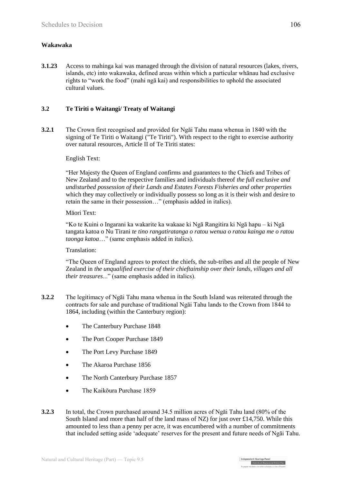### **Wakawaka**

**3.1.23** Access to mahinga kai was managed through the division of natural resources (lakes, rivers, islands, etc) into wakawaka, defined areas within which a particular whānau had exclusive rights to "work the food" (mahi ngā kai) and responsibilities to uphold the associated cultural values.

### **3.2 Te Tiriti o Waitangi/ Treaty of Waitangi**

**3.2.1** The Crown first recognised and provided for Ngāi Tahu mana whenua in 1840 with the signing of Te Tiriti o Waitangi ("Te Tiriti"). With respect to the right to exercise authority over natural resources, Article II of Te Tiriti states:

#### English Text:

"Her Majesty the Queen of England confirms and guarantees to the Chiefs and Tribes of New Zealand and to the respective families and individuals thereof *the full exclusive and undisturbed possession of their Lands and Estates Forests Fisheries and other properties* which they may collectively or individually possess so long as it is their wish and desire to retain the same in their possession…" (emphasis added in italics).

#### Māori Text:

"Ko te Kuini o Ingarani ka wakarite ka wakaae ki Ngā Rangitira ki Ngā hapu – ki Ngā tangata katoa o Nu Tirani *te tino rangatiratanga o ratou wenua o ratou kainga me o ratou taonga katoa*…" (same emphasis added in italics).

#### Translation:

"The Queen of England agrees to protect the chiefs, the sub-tribes and all the people of New Zealand in *the unqualified exercise of their chieftainship over their lands, villages and all their treasures*..." (same emphasis added in italics).

- **3.2.2** The legitimacy of Ngāi Tahu mana whenua in the South Island was reiterated through the contracts for sale and purchase of traditional Ngāi Tahu lands to the Crown from 1844 to 1864, including (within the Canterbury region):
	- The Canterbury Purchase 1848
	- The Port Cooper Purchase 1849
	- The Port Levy Purchase 1849
	- The Akaroa Purchase 1856
	- The North Canterbury Purchase 1857
	- The Kaikōura Purchase 1859
- **3.2.3** In total, the Crown purchased around 34.5 million acres of Ngāi Tahu land (80% of the South Island and more than half of the land mass of NZ) for just over £14,750. While this amounted to less than a penny per acre, it was encumbered with a number of commitments that included setting aside 'adequate' reserves for the present and future needs of Ngāi Tahu.

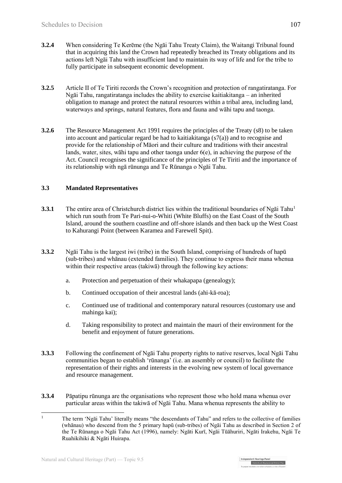- **3.2.4** When considering Te Kerēme (the Ngāi Tahu Treaty Claim), the Waitangi Tribunal found that in acquiring this land the Crown had repeatedly breached its Treaty obligations and its actions left Ngāi Tahu with insufficient land to maintain its way of life and for the tribe to fully participate in subsequent economic development.
- **3.2.5** Article II of Te Tiriti records the Crown's recognition and protection of rangatiratanga. For Ngāi Tahu, rangatiratanga includes the ability to exercise kaitiakitanga – an inherited obligation to manage and protect the natural resources within a tribal area, including land, waterways and springs, natural features, flora and fauna and wāhi tapu and taonga.
- **3.2.6** The Resource Management Act 1991 requires the principles of the Treaty (s8) to be taken into account and particular regard be had to kaitiakitanga  $(s7(a))$  and to recognise and provide for the relationship of Māori and their culture and traditions with their ancestral lands, water, sites, wāhi tapu and other taonga under  $6(e)$ , in achieving the purpose of the Act. Council recognises the significance of the principles of Te Tiriti and the importance of its relationship with ngā rūnunga and Te Rūnanga o Ngāi Tahu.

#### **3.3 Mandated Representatives**

- **3.3.1** The entire area of Christchurch district lies within the traditional boundaries of Ngai Tahu<sup>1</sup> which run south from Te Pari-nui-o-Whiti (White Bluffs) on the East Coast of the South Island, around the southern coastline and off-shore islands and then back up the West Coast to Kahurangi Point (between Karamea and Farewell Spit).
- **3.3.2** Ngāi Tahu is the largest iwi (tribe) in the South Island, comprising of hundreds of hapū (sub-tribes) and whānau (extended families). They continue to express their mana whenua within their respective areas (takiwa) through the following key actions:
	- a. Protection and perpetuation of their whakapapa (genealogy);
	- b. Continued occupation of their ancestral lands (ahi-kā-roa);
	- c. Continued use of traditional and contemporary natural resources (customary use and mahinga kai);
	- d. Taking responsibility to protect and maintain the mauri of their environment for the benefit and enjoyment of future generations.
- **3.3.3** Following the confinement of Ngāi Tahu property rights to native reserves, local Ngāi Tahu communities began to establish 'rūnanga' (i.e. an assembly or council) to facilitate the representation of their rights and interests in the evolving new system of local governance and resource management.
- **3.3.4** Pāpatipu rūnunga are the organisations who represent those who hold mana whenua over particular areas within the takiwā of Ngāi Tahu. Mana whenua represents the ability to



 $\overline{1}$ <sup>1</sup> The term 'Ngāi Tahu' literally means "the descendants of Tahu" and refers to the collective of families (whānau) who descend from the 5 primary hapū (sub-tribes) of Ngāi Tahu as described in Section 2 of the Te Rūnanga o Ngāi Tahu Act (1996), namely: Ngāti Kurī, Ngāi Tūāhuriri, Ngāti Irakehu, Ngāi Te Ruahikihiki & Ngāti Huirapa.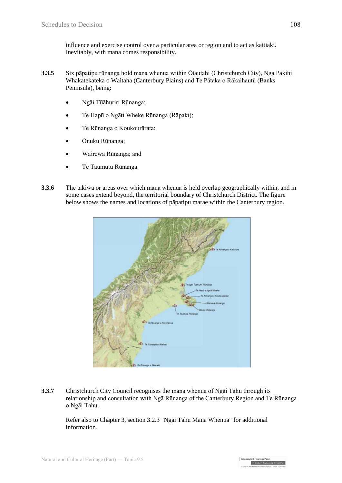influence and exercise control over a particular area or region and to act as kaitiaki. Inevitably, with mana comes responsibility.

- **3.3.5** Six pāpatipu rūnanga hold mana whenua within Ōtautahi (Christchurch City), Nga Pakihi Whakatekateka o Waitaha (Canterbury Plains) and Te Pātaka o Rākaihautū (Banks Peninsula), being:
	- Ngāi Tūāhuriri Rūnanga;
	- Te Hapū o Ngāti Wheke Rūnanga (Rāpaki);
	- Te Rūnanga o Koukourārata;
	- Ōnuku Rūnanga;
	- Wairewa Rūnanga; and
	- Te Taumutu Rūnanga.
- **3.3.6** The takiwā or areas over which mana whenua is held overlap geographically within, and in some cases extend beyond, the territorial boundary of Christchurch District. The figure below shows the names and locations of pāpatipu marae within the Canterbury region.



**3.3.7** Christchurch City Council recognises the mana whenua of Ngai Tahu through its relationship and consultation with Ngā Rūnanga of the Canterbury Region and Te Rūnanga o Ngāi Tahu.

Refer also to Chapter 3, section 3.2.3 "Ngai Tahu Mana Whenua" for additional information.

> ent Hearings Pane Christchurch Replacem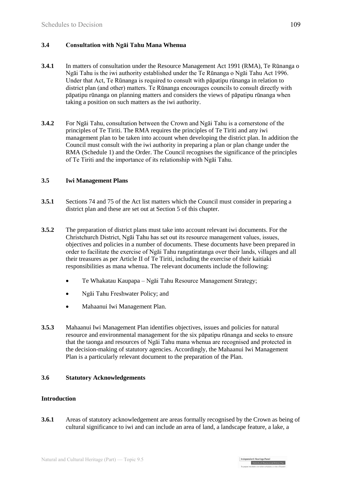## **3.4 Consultation with Ngāi Tahu Mana Whenua**

- **3.4.1** In matters of consultation under the Resource Management Act 1991 (RMA), Te Rūnanga o Ngāi Tahu is the iwi authority established under the Te Rūnanga o Ngāi Tahu Act 1996. Under that Act, Te Rūnanga is required to consult with pāpatipu rūnanga in relation to district plan (and other) matters. Te Rūnanga encourages councils to consult directly with pāpatipu rūnanga on planning matters and considers the views of pāpatipu rūnanga when taking a position on such matters as the iwi authority.
- **3.4.2** For Ngāi Tahu, consultation between the Crown and Ngāi Tahu is a cornerstone of the principles of Te Tiriti. The RMA requires the principles of Te Tiriti and any iwi management plan to be taken into account when developing the district plan. In addition the Council must consult with the iwi authority in preparing a plan or plan change under the RMA (Schedule 1) and the Order. The Council recognises the significance of the principles of Te Tiriti and the importance of its relationship with Ngāi Tahu.

#### **3.5 Iwi Management Plans**

- **3.5.1** Sections 74 and 75 of the Act list matters which the Council must consider in preparing a district plan and these are set out at Section 5 of this chapter.
- **3.5.2** The preparation of district plans must take into account relevant iwi documents. For the Christchurch District, Ngāi Tahu has set out its resource management values, issues, objectives and policies in a number of documents. These documents have been prepared in order to facilitate the exercise of Ngāi Tahu rangatiratanga over their lands, villages and all their treasures as per Article II of Te Tiriti, including the exercise of their kaitiaki responsibilities as mana whenua. The relevant documents include the following:
	- Te Whakatau Kaupapa Ngāi Tahu Resource Management Strategy;
	- Ngāi Tahu Freshwater Policy; and
	- Mahaanui Iwi Management Plan.
- **3.5.3** Mahaanui Iwi Management Plan identifies objectives, issues and policies for natural resource and environmental management for the six pāpatipu rūnanga and seeks to ensure that the taonga and resources of Ngāi Tahu mana whenua are recognised and protected in the decision-making of statutory agencies. Accordingly, the Mahaanui Iwi Management Plan is a particularly relevant document to the preparation of the Plan.

#### **3.6 Statutory Acknowledgements**

#### **Introduction**

**3.6.1** Areas of statutory acknowledgement are areas formally recognised by the Crown as being of cultural significance to iwi and can include an area of land, a landscape feature, a lake, a

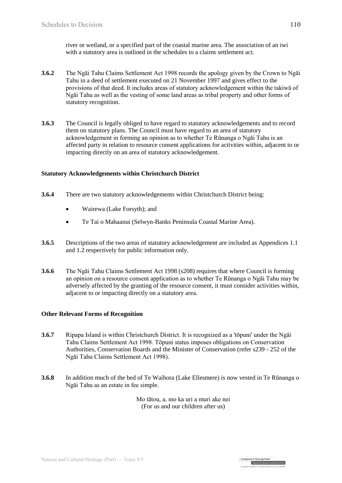river or wetland, or a specified part of the coastal marine area. The association of an iwi with a statutory area is outlined in the schedules to a claims settlement act.

- **3.6.2** The Ngāi Tahu Claims Settlement Act 1998 records the apology given by the Crown to Ngāi Tahu in a deed of settlement executed on 21 November 1997 and gives effect to the provisions of that deed. It includes areas of statutory acknowledgement within the takiwā of Ngāi Tahu as well as the vesting of some land areas as tribal property and other forms of statutory recognition.
- **3.6.3** The Council is legally obliged to have regard to statutory acknowledgements and to record them on statutory plans. The Council must have regard to an area of statutory acknowledgement in forming an opinion as to whether Te Rūnanga o Ngāi Tahu is an affected party in relation to resource consent applications for activities within, adjacent to or impacting directly on an area of statutory acknowledgement.

#### **Statutory Acknowledgements within Christchurch District**

- **3.6.4** There are two statutory acknowledgements within Christchurch District being:
	- Wairewa (Lake Forsyth); and
	- Te Tai o Mahaanui (Selwyn-Banks Peninsula Coastal Marine Area).
- **3.6.5** Descriptions of the two areas of statutory acknowledgement are included as Appendices 1.1 and 1.2 respectively for public information only.
- **3.6.6** The Ngāi Tahu Claims Settlement Act 1998 (s208) requires that where Council is forming an opinion on a resource consent application as to whether Te Rūnanga o Ngāi Tahu may be adversely affected by the granting of the resource consent, it must consider activities within, adjacent to or impacting directly on a statutory area.

#### **Other Relevant Forms of Recognition**

- **3.6.7** Ripapa Island is within Christchurch District. It is recognized as a 'tōpuni' under the Ngāi Tahu Claims Settlement Act 1998. Tōpuni status imposes obligations on Conservation Authorities, Conservation Boards and the Minister of Conservation (refer s239 - 252 of the Ngāi Tahu Claims Settlement Act 1998).
- **3.6.8** In addition much of the bed of Te Waihora (Lake Ellesmere) is now vested in Te Rūnanga o Ngāi Tahu as an estate in fee simple.

Mo tātou, a, mo ka uri a muri ake nei (For us and our children after us)

> dent Hearings Pane Christchurch Replacement District Plan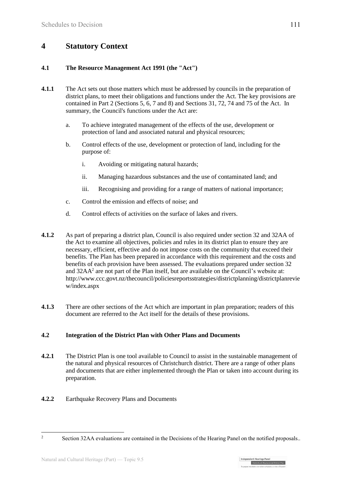## **4 Statutory Context**

### **4.1 The Resource Management Act 1991 (the "Act")**

- **4.1.1** The Act sets out those matters which must be addressed by councils in the preparation of district plans, to meet their obligations and functions under the Act. The key provisions are contained in Part 2 (Sections 5, 6, 7 and 8) and Sections 31, 72, 74 and 75 of the Act. In summary, the Council's functions under the Act are:
	- a. To achieve integrated management of the effects of the use, development or protection of land and associated natural and physical resources;
	- b. Control effects of the use, development or protection of land, including for the purpose of:
		- i. Avoiding or mitigating natural hazards;
		- ii. Managing hazardous substances and the use of contaminated land; and
		- iii. Recognising and providing for a range of matters of national importance;
	- c. Control the emission and effects of noise; and
	- d. Control effects of activities on the surface of lakes and rivers.
- **4.1.2** As part of preparing a district plan, Council is also required under section 32 and 32AA of the Act to examine all objectives, policies and rules in its district plan to ensure they are necessary, efficient, effective and do not impose costs on the community that exceed their benefits. The Plan has been prepared in accordance with this requirement and the costs and benefits of each provision have been assessed. The evaluations prepared under section 32 and  $32AA<sup>2</sup>$  are not part of the Plan itself, but are available on the Council's website at: [http://www.ccc.govt.nz/thecouncil/policiesreportsstrategies/districtplanning/districtplanrevie](http://www.ccc.govt.nz/thecouncil/policiesreportsstrategies/districtplanning/districtplanreview/index.aspx) [w/index.aspx](http://www.ccc.govt.nz/thecouncil/policiesreportsstrategies/districtplanning/districtplanreview/index.aspx)
- **4.1.3** There are other sections of the Act which are important in plan preparation; readers of this document are referred to the Act itself for the details of these provisions.

## **4.2 Integration of the District Plan with Other Plans and Documents**

- **4.2.1** The District Plan is one tool available to Council to assist in the sustainable management of the natural and physical resources of Christchurch district. There are a range of other plans and documents that are either implemented through the Plan or taken into account during its preparation.
- **4.2.2** Earthquake Recovery Plans and Documents

 $\overline{2}$ Section 32AA evaluations are contained in the Decisions of the Hearing Panel on the notified proposals...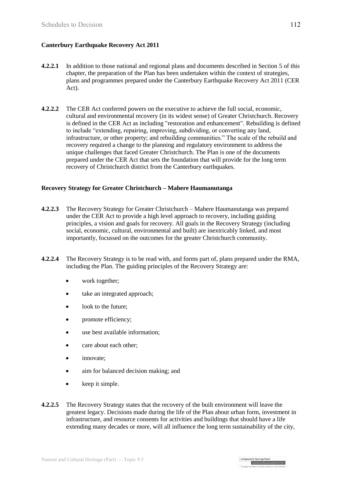### **Canterbury Earthquake Recovery Act 2011**

- **4.2.2.1** In addition to those national and regional plans and documents described in Section 5 of this chapter, the preparation of the Plan has been undertaken within the context of strategies, plans and programmes prepared under the Canterbury Earthquake Recovery Act 2011 (CER Act).
- **4.2.2.2** The CER Act conferred powers on the executive to achieve the full social, economic, cultural and environmental recovery (in its widest sense) of Greater Christchurch. Recovery is defined in the CER Act as including "restoration and enhancement". Rebuilding is defined to include "extending, repairing, improving, subdividing, or converting any land, infrastructure, or other property; and rebuilding communities." The scale of the rebuild and recovery required a change to the planning and regulatory environment to address the unique challenges that faced Greater Christchurch. The Plan is one of the documents prepared under the CER Act that sets the foundation that will provide for the long term recovery of Christchurch district from the Canterbury earthquakes.

#### **Recovery Strategy for Greater Christchurch – Mahere Haumanutanga**

- **4.2.2.3** The Recovery Strategy for Greater Christchurch Mahere Haumanutanga was prepared under the CER Act to provide a high level approach to recovery, including guiding principles, a vision and goals for recovery. All goals in the Recovery Strategy (including social, economic, cultural, environmental and built) are inextricably linked, and most importantly, focussed on the outcomes for the greater Christchurch community.
- **4.2.2.4** The Recovery Strategy is to be read with, and forms part of, plans prepared under the RMA, including the Plan. The guiding principles of the Recovery Strategy are:
	- work together;
	- take an integrated approach;
	- look to the future;
	- promote efficiency;
	- use best available information;
	- care about each other;
	- innovate;
	- aim for balanced decision making; and
	- $\bullet$  keep it simple.
- **4.2.2.5** The Recovery Strategy states that the recovery of the built environment will leave the greatest legacy. Decisions made during the life of the Plan about urban form, investment in infrastructure, and resource consents for activities and buildings that should have a life extending many decades or more, will all influence the long term sustainability of the city,

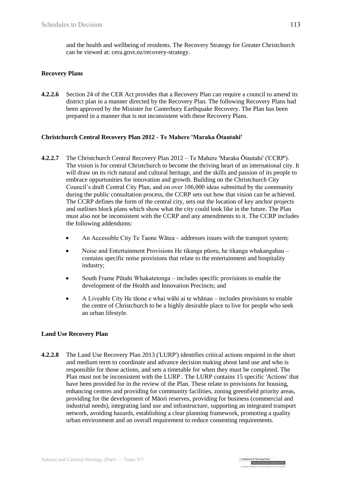and the health and wellbeing of residents. The Recovery Strategy for Greater Christchurch can be viewed at: cera.govt.nz/recovery-strategy.

#### **Recovery Plans**

**4.2.2.6** Section 24 of the CER Act provides that a Recovery Plan can require a council to amend its district plan in a manner directed by the Recovery Plan. The following Recovery Plans had been approved by the Minister for Canterbury Earthquake Recovery. The Plan has been prepared in a manner that is not inconsistent with these Recovery Plans.

#### **[Christchurch Central Recovery Plan 2012](http://ccdu.govt.nz/the-plan) - Te Mahere 'Maraka Ōtautahi'**

- **4.2.2.7** [The Christchurch Central Recovery Plan 2012](http://ccdu.govt.nz/the-plan) Te Mahere 'Maraka Ōtautahi' ('CCRP'). The vision is for central Christchurch to become the thriving heart of an international city. It will draw on its rich natural and cultural heritage, and the skills and passion of its people to embrace opportunities for innovation and growth. Building on the Christchurch City Council's draft Central City Plan, and on over 106,000 ideas submitted by the community during the public consultation process, the CCRP sets out how that vision can be achieved. The CCRP defines the form of the central city, sets out the location of key anchor projects and outlines block plans which show what the city could look like in the future. The Plan must also not be inconsistent with the CCRP and any amendments to it. The CCRP includes the following addendums:
	- An Accessible City Te Taone Wātea addresses issues with the transport system;
	- Noise and Entertainment Provisions He tikanga pūoru, he tikanga whakangahau contains specific noise provisions that relate to the entertainment and hospitality industry;
	- South Frame Pūtahi Whakatetonga includes specific provisions to enable the development of the Health and Innovation Precincts; and
	- A Liveable City He tāone e whai wāhi ai te whānau includes provisions to enable the centre of Christchurch to be a highly desirable place to live for people who seek an urban lifestyle.

#### **Land Use Recovery Plan**

**4.2.2.8** [The Land Use Recovery Plan 2013](http://cera.govt.nz/recovery-strategy/built-environment/land-use-recovery-plan) ('LURP') identifies critical actions required in the short and medium term to coordinate and advance decision making about land use and who is responsible for those actions, and sets a timetable for when they must be completed. The Plan must not be inconsistent with the LURP . The LURP contains 15 specific 'Actions' that have been provided for in the review of the Plan. These relate to provisions for housing, enhancing centres and providing for community facilities, zoning greenfield priority areas, providing for the development of Māori reserves, providing for business (commercial and industrial needs), integrating land use and infrastructure, supporting an integrated transport network, avoiding hazards, establishing a clear planning framework, promoting a quality urban environment and an overall requirement to reduce consenting requirements.

| Independent Hearings Pane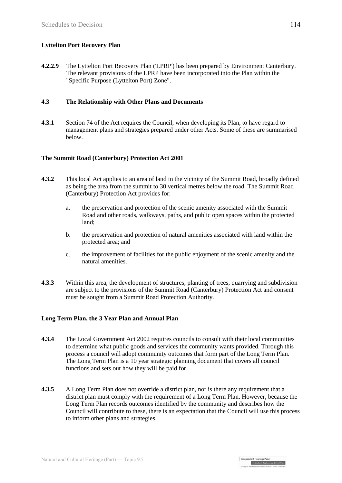## **Lyttelton Port Recovery Plan**

**4.2.2.9** The Lyttelton Port Recovery Plan ('LPRP') has been prepared by Environment Canterbury. The relevant provisions of the LPRP have been incorporated into the Plan within the "Specific Purpose (Lyttelton Port) Zone".

#### **4.3 The Relationship with Other Plans and Documents**

**4.3.1** Section 74 of the Act requires the Council, when developing its Plan, to have regard to management plans and strategies prepared under other Acts. Some of these are summarised below.

### **The Summit Road (Canterbury) Protection Act 2001**

- **4.3.2** This local Act applies to an area of land in the vicinity of the Summit Road, broadly defined as being the area from the summit to 30 vertical metres below the road[. The Summit Road](http://www.legislation.govt.nz/act/local/2001/0003/latest/DLM85721.html)  [\(Canterbury\) Protection Act](http://www.legislation.govt.nz/act/local/2001/0003/latest/DLM85721.html) provides for:
	- a. the preservation and protection of the scenic amenity associated with the Summit Road and other roads, walkways, paths, and public open spaces within the protected land;
	- b. the preservation and protection of natural amenities associated with land within the protected area; and
	- c. the improvement of facilities for the public enjoyment of the scenic amenity and the natural amenities.
- **4.3.3** Within this area, the development of structures, planting of trees, quarrying and subdivision are subject to the provisions of the Summit Road (Canterbury) Protection Act and consent must be sought from a Summit Road Protection Authority.

#### **Long Term Plan, the 3 Year Plan and Annual Plan**

- **4.3.4** The Local Government Act 2002 requires councils to consult with their local communities to determine what public goods and services the community wants provided. Through this process a council will adopt community outcomes that form part of the Long Term Plan. The Long Term Plan is a 10 year strategic planning document that covers all council functions and sets out how they will be paid for.
- **4.3.5** A Long Term Plan does not override a district plan, nor is there any requirement that a district plan must comply with the requirement of a Long Term Plan. However, because the Long Term Plan records outcomes identified by the community and describes how the Council will contribute to these, there is an expectation that the Council will use this process to inform other plans and strategies.

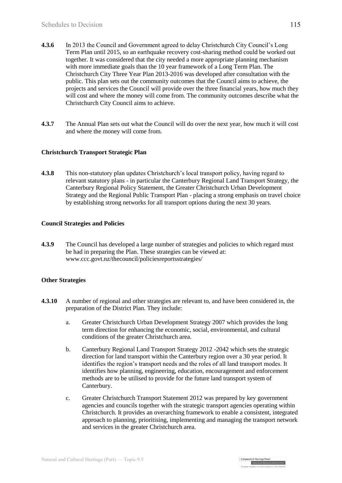- **4.3.6** In 2013 the Council and Government agreed to delay Christchurch City Council's Long Term Plan until 2015, so an earthquake recovery cost-sharing method could be worked out together. It was considered that the city needed a more appropriate planning mechanism with more immediate goals than the 10 year framework of a Long Term Plan. The Christchurch City Three Year Plan 2013-2016 was developed after consultation with the public. This plan sets out the community outcomes that the Council aims to achieve, the projects and services the Council will provide over the three financial years, how much they will cost and where the money will come from. The community outcomes describe what the Christchurch City Council aims to achieve.
- **4.3.7** The Annual Plan sets out what the Council will do over the next year, how much it will cost and where the money will come from.

#### **Christchurch Transport Strategic Plan**

**4.3.8** This non-statutory plan updates Christchurch's local transport policy, having regard to relevant statutory plans - in particular the Canterbury Regional Land Transport Strategy, the Canterbury Regional Policy Statement, the Greater Christchurch Urban Development Strategy and the Regional Public Transport Plan - placing a strong emphasis on travel choice by establishing strong networks for all transport options during the next 30 years.

#### **Council Strategies and Policies**

**4.3.9** The Council has developed a large number of strategies and policies to which regard must be had in preparing the Plan. These strategies can be viewed at: [www.ccc.govt.nz/thecouncil/policiesreportsstrategies/](http://www.ccc.govt.nz/thecouncil/policiesreportsstrategies/strategies/index.aspx)

#### **Other Strategies**

- **4.3.10** A number of regional and other strategies are relevant to, and have been considered in, the preparation of the District Plan. They include:
	- a. Greater Christchurch Urban Development Strategy 2007 which provides the long term direction for enhancing the economic, social, environmental, and cultural conditions of the greater Christchurch area.
	- b. Canterbury Regional Land Transport Strategy 2012 -2042 which sets the strategic direction for land transport within the Canterbury region over a 30 year period. It identifies the region's transport needs and the roles of all land transport modes. It identifies how planning, engineering, education, encouragement and enforcement methods are to be utilised to provide for the future land transport system of Canterbury.
	- c. Greater Christchurch Transport Statement 2012 was prepared by key government agencies and councils together with the strategic transport agencies operating within Christchurch. It provides an overarching framework to enable a consistent, integrated approach to planning, prioritising, implementing and managing the transport network and services in the greater Christchurch area.

Independent Hearings Pane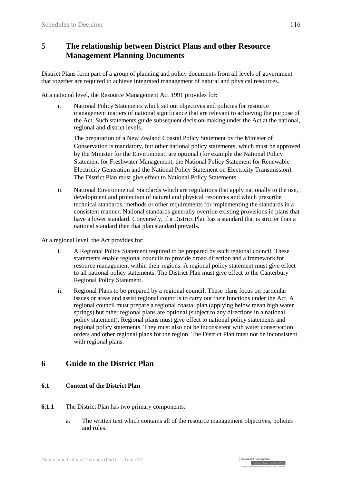## **5 The relationship between District Plans and other Resource Management Planning Documents**

District Plans form part of a group of planning and policy documents from all levels of government that together are required to achieve integrated management of natural and physical resources.

At a national level, the Resource Management Act 1991 provides for:

i. National Policy Statements which set out objectives and policies for resource management matters of national significance that are relevant to achieving the purpose of the Act. Such statements guide subsequent decision-making under the Act at the national, regional and district levels.

The preparation of a New Zealand Coastal Policy Statement by the Minister of Conservation is mandatory, but other national policy statements, which must be approved by the Minister for the Environment, are optional (for example the National Policy Statement for Freshwater Management, the National Policy Statement for Renewable Electricity Generation and the National Policy Statement on Electricity Transmission). The District Plan must give effect to National Policy Statements.

- ii. National Environmental Standards which are regulations that apply nationally to the use, development and protection of natural and physical resources and which prescribe technical standards, methods or other requirements for implementing the standards in a consistent manner. National standards generally override existing provisions in plans that have a lower standard. Conversely, if a District Plan has a standard that is stricter than a national standard then that plan standard prevails.
- At a regional level, the Act provides for:
	- i. A Regional Policy Statement required to be prepared by each regional council. These statements enable regional councils to provide broad direction and a framework for resource management within their regions. A regional policy statement must give effect to all national policy statements. The District Plan must give effect to the Canterbury Regional Policy Statement.
	- ii. Regional Plans to be prepared by a regional council. These plans focus on particular issues or areas and assist regional councils to carry out their functions under the Act. A regional council must prepare a regional coastal plan (applying below mean high water springs) but other regional plans are optional (subject to any directions in a national policy statement). Regional plans must give effect to national policy statements and regional policy statements. They must also not be inconsistent with water conservation orders and other regional plans for the region. The District Plan must not be inconsistent with regional plans.

## **6 Guide to the District Plan**

## **6.1 Content of the District Plan**

- **6.1.1** The District Plan has two primary components:
	- a. The written text which contains all of the resource management objectives, policies and rules.

| Independent Hearings Pane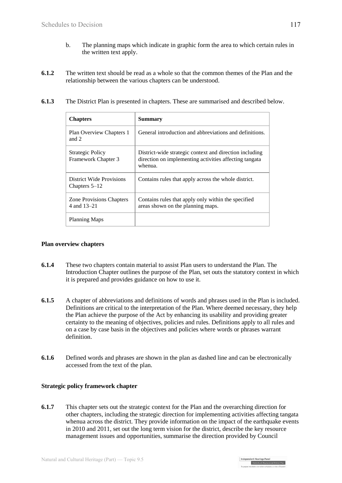- b. The planning maps which indicate in graphic form the area to which certain rules in the written text apply.
- **6.1.2** The written text should be read as a whole so that the common themes of the Plan and the relationship between the various chapters can be understood.

| 6.1.3 |  |  | The District Plan is presented in chapters. These are summarised and described below. |  |
|-------|--|--|---------------------------------------------------------------------------------------|--|
|-------|--|--|---------------------------------------------------------------------------------------|--|

| <b>Chapters</b>                                | <b>Summary</b>                                                                                                               |
|------------------------------------------------|------------------------------------------------------------------------------------------------------------------------------|
| Plan Overview Chapters 1<br>and 2              | General introduction and abbreviations and definitions.                                                                      |
| <b>Strategic Policy</b><br>Framework Chapter 3 | District-wide strategic context and direction including<br>direction on implementing activities affecting tangata<br>whenua. |
| District Wide Provisions<br>Chapters $5-12$    | Contains rules that apply across the whole district.                                                                         |
| <b>Zone Provisions Chapters</b><br>4 and 13–21 | Contains rules that apply only within the specified<br>areas shown on the planning maps.                                     |
| <b>Planning Maps</b>                           |                                                                                                                              |

#### **Plan overview chapters**

- **6.1.4** These two chapters contain material to assist Plan users to understand the Plan. The Introduction Chapter outlines the purpose of the Plan, set outs the statutory context in which it is prepared and provides guidance on how to use it.
- **6.1.5** A chapter of abbreviations and definitions of words and phrases used in the Plan is included. Definitions are critical to the interpretation of the Plan. Where deemed necessary, they help the Plan achieve the purpose of the Act by enhancing its usability and providing greater certainty to the meaning of objectives, policies and rules. Definitions apply to all rules and on a case by case basis in the objectives and policies where words or phrases warrant definition.
- **6.1.6** Defined words and phrases are shown in the plan as dashed line and can be electronically accessed from the text of the plan.

#### **Strategic policy framework chapter**

**6.1.7** This chapter sets out the strategic context for the Plan and the overarching direction for other chapters, including the strategic direction for implementing activities affecting tangata whenua across the district. They provide information on the impact of the earthquake events in 2010 and 2011, set out the long term vision for the district, describe the key resource management issues and opportunities, summarise the direction provided by Council

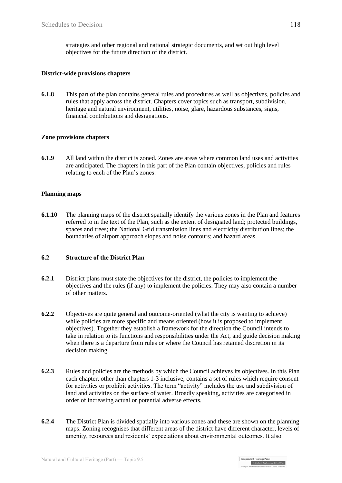strategies and other regional and national strategic documents, and set out high level objectives for the future direction of the district.

#### **District-wide provisions chapters**

**6.1.8** This part of the plan contains general rules and procedures as well as objectives, policies and rules that apply across the district. Chapters cover topics such as transport, subdivision, heritage and natural environment, utilities, noise, glare, hazardous substances, signs, financial contributions and designations.

#### **Zone provisions chapters**

**6.1.9** All land within the district is zoned. Zones are areas where common land uses and activities are anticipated. The chapters in this part of the Plan contain objectives, policies and rules relating to each of the Plan's zones.

#### **Planning maps**

**6.1.10** The planning maps of the district spatially identify the various zones in the Plan and features referred to in the text of the Plan, such as the extent of designated land; protected buildings, spaces and trees; the National Grid transmission lines and electricity distribution lines; the boundaries of airport approach slopes and noise contours; and hazard areas.

#### **6.2 Structure of the District Plan**

- **6.2.1** District plans must state the objectives for the district, the policies to implement the objectives and the rules (if any) to implement the policies. They may also contain a number of other matters.
- **6.2.2** Objectives are quite general and outcome-oriented (what the city is wanting to achieve) while policies are more specific and means oriented (how it is proposed to implement objectives). Together they establish a framework for the direction the Council intends to take in relation to its functions and responsibilities under the Act, and guide decision making when there is a departure from rules or where the Council has retained discretion in its decision making.
- **6.2.3** Rules and policies are the methods by which the Council achieves its objectives. In this Plan each chapter, other than chapters 1-3 inclusive, contains a set of rules which require consent for activities or prohibit activities. The term "activity" includes the use and subdivision of land and activities on the surface of water. Broadly speaking, activities are categorised in order of increasing actual or potential adverse effects.
- **6.2.4** The District Plan is divided spatially into various zones and these are shown on the planning maps. Zoning recognises that different areas of the district have different character, levels of amenity, resources and residents' expectations about environmental outcomes. It also

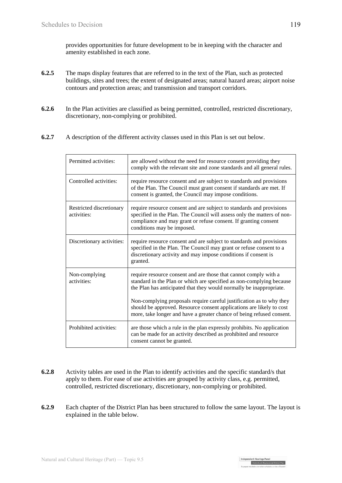provides opportunities for future development to be in keeping with the character and amenity established in each zone.

- **6.2.5** The maps display features that are referred to in the text of the Plan, such as protected buildings, sites and trees; the extent of designated areas; natural hazard areas; airport noise contours and protection areas; and transmission and transport corridors.
- **6.2.6** In the Plan activities are classified as being permitted, controlled, restricted discretionary, discretionary, non-complying or prohibited.
- **6.2.7** A description of the different activity classes used in this Plan is set out below.

| Permitted activities:                   | are allowed without the need for resource consent providing they<br>comply with the relevant site and zone standards and all general rules.                                                                                                                                                                                                                                                                                              |
|-----------------------------------------|------------------------------------------------------------------------------------------------------------------------------------------------------------------------------------------------------------------------------------------------------------------------------------------------------------------------------------------------------------------------------------------------------------------------------------------|
| Controlled activities:                  | require resource consent and are subject to standards and provisions<br>of the Plan. The Council must grant consent if standards are met. If<br>consent is granted, the Council may impose conditions.                                                                                                                                                                                                                                   |
| Restricted discretionary<br>activities: | require resource consent and are subject to standards and provisions<br>specified in the Plan. The Council will assess only the matters of non-<br>compliance and may grant or refuse consent. If granting consent<br>conditions may be imposed.                                                                                                                                                                                         |
| Discretionary activities:               | require resource consent and are subject to standards and provisions<br>specified in the Plan. The Council may grant or refuse consent to a<br>discretionary activity and may impose conditions if consent is<br>granted.                                                                                                                                                                                                                |
| Non-complying<br>activities:            | require resource consent and are those that cannot comply with a<br>standard in the Plan or which are specified as non-complying because<br>the Plan has anticipated that they would normally be inappropriate.<br>Non-complying proposals require careful justification as to why they<br>should be approved. Resource consent applications are likely to cost<br>more, take longer and have a greater chance of being refused consent. |
| Prohibited activities:                  | are those which a rule in the plan expressly prohibits. No application<br>can be made for an activity described as prohibited and resource<br>consent cannot be granted.                                                                                                                                                                                                                                                                 |

- **6.2.8** Activity tables are used in the Plan to identify activities and the specific standard/s that apply to them. For ease of use activities are grouped by activity class, e.g. permitted, controlled, restricted discretionary, discretionary, non-complying or prohibited.
- **6.2.9** Each chapter of the District Plan has been structured to follow the same layout. The layout is explained in the table below.

| Independent Hearings Pane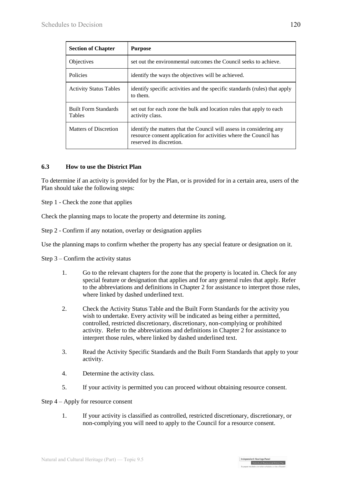| <b>Section of Chapter</b>                    | <b>Purpose</b>                                                                                                                                                        |
|----------------------------------------------|-----------------------------------------------------------------------------------------------------------------------------------------------------------------------|
| Objectives                                   | set out the environmental outcomes the Council seeks to achieve.                                                                                                      |
| Policies                                     | identify the ways the objectives will be achieved.                                                                                                                    |
| <b>Activity Status Tables</b>                | identify specific activities and the specific standards (rules) that apply<br>to them.                                                                                |
| <b>Built Form Standards</b><br><b>Tables</b> | set out for each zone the bulk and location rules that apply to each<br>activity class.                                                                               |
| Matters of Discretion                        | identify the matters that the Council will assess in considering any<br>resource consent application for activities where the Council has<br>reserved its discretion. |

#### **6.3 How to use the District Plan**

To determine if an activity is provided for by the Plan, or is provided for in a certain area, users of the Plan should take the following steps:

Step 1 - Check the zone that applies

Check the planning maps to locate the property and determine its zoning.

Step 2 - Confirm if any notation, overlay or designation applies

Use the planning maps to confirm whether the property has any special feature or designation on it.

Step 3 – Confirm the activity status

- 1. Go to the relevant chapters for the zone that the property is located in. Check for any special feature or designation that applies and for any general rules that apply. Refer to the abbreviations and definitions in Chapter 2 for assistance to interpret those rules, where linked by dashed underlined text.
- 2. Check the Activity Status Table and the Built Form Standards for the activity you wish to undertake. Every activity will be indicated as being either a permitted, controlled, restricted discretionary, discretionary, non-complying or prohibited activity. Refer to the abbreviations and definitions in Chapter 2 for assistance to interpret those rules, where linked by dashed underlined text.
- 3. Read the Activity Specific Standards and the Built Form Standards that apply to your activity.
- 4. Determine the activity class.
- 5. If your activity is permitted you can proceed without obtaining resource consent.

#### Step 4 – Apply for resource consent

1. If your activity is classified as controlled, restricted discretionary, discretionary, or non-complying you will need to apply to the Council for a resource consent.

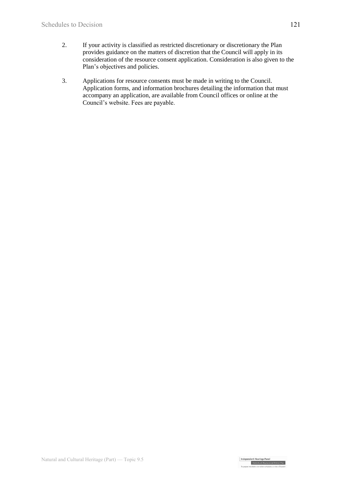- 2. If your activity is classified as restricted discretionary or discretionary the Plan provides guidance on the matters of discretion that the Council will apply in its consideration of the resource consent application. Consideration is also given to the Plan's objectives and policies.
- 3. Applications for resource consents must be made in writing to the Council. Application forms, and information brochures detailing the information that must accompany an application, are available from Council offices or online at the Council's website. Fees are payable.

Independent Hearings Panel<br>Christchurch Replacement District Plan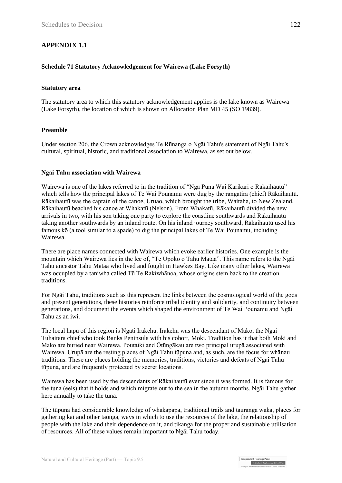## **APPENDIX 1.1**

#### **Schedule 71 Statutory Acknowledgement for Wairewa (Lake Forsyth)**

#### **Statutory area**

The statutory area to which this statutory acknowledgement applies is the lake known as Wairewa (Lake Forsyth), the location of which is shown on Allocation Plan MD 45 (SO 19839).

#### **Preamble**

Under section 206, the Crown acknowledges Te Rūnanga o Ngāi Tahu's statement of Ngāi Tahu's cultural, spiritual, historic, and traditional association to Wairewa, as set out below.

#### **Ngāi Tahu association with Wairewa**

Wairewa is one of the lakes referred to in the tradition of "Ngā Puna Wai Karikari o Rākaihautū" which tells how the principal lakes of Te Wai Pounamu were dug by the rangatira (chief) Rākaihautū. Rākaihautū was the captain of the canoe, Uruao, which brought the tribe, Waitaha, to New Zealand. Rākaihautū beached his canoe at Whakatū (Nelson). From Whakatū, Rākaihautū divided the new arrivals in two, with his son taking one party to explore the coastline southwards and Rākaihautū taking another southwards by an inland route. On his inland journey southward, Rākaihautū used his famous kō (a tool similar to a spade) to dig the principal lakes of Te Wai Pounamu, including Wairewa.

There are place names connected with Wairewa which evoke earlier histories. One example is the mountain which Wairewa lies in the lee of, "Te Upoko o Tahu Mataa". This name refers to the Ngāi Tahu ancestor Tahu Mataa who lived and fought in Hawkes Bay. Like many other lakes, Wairewa was occupied by a taniwha called Tū Te Rakiwhānoa, whose origins stem back to the creation traditions.

For Ngāi Tahu, traditions such as this represent the links between the cosmological world of the gods and present generations, these histories reinforce tribal identity and solidarity, and continuity between generations, and document the events which shaped the environment of Te Wai Pounamu and Ngāi Tahu as an iwi.

The local hapū of this region is Ngāti Irakehu. Irakehu was the descendant of Mako, the Ngāi Tuhaitara chief who took Banks Peninsula with his cohort, Moki. Tradition has it that both Moki and Mako are buried near Wairewa. Poutaiki and Ōtūngākau are two principal urupā associated with Wairewa. Urupā are the resting places of Ngāi Tahu tūpuna and, as such, are the focus for whānau traditions. These are places holding the memories, traditions, victories and defeats of Ngāi Tahu tūpuna, and are frequently protected by secret locations.

Wairewa has been used by the descendants of Rākaihautū ever since it was formed. It is famous for the tuna (eels) that it holds and which migrate out to the sea in the autumn months. Ngāi Tahu gather here annually to take the tuna.

The tūpuna had considerable knowledge of whakapapa, traditional trails and tauranga waka, places for gathering kai and other taonga, ways in which to use the resources of the lake, the relationship of people with the lake and their dependence on it, and tikanga for the proper and sustainable utilisation of resources. All of these values remain important to Ngāi Tahu today.

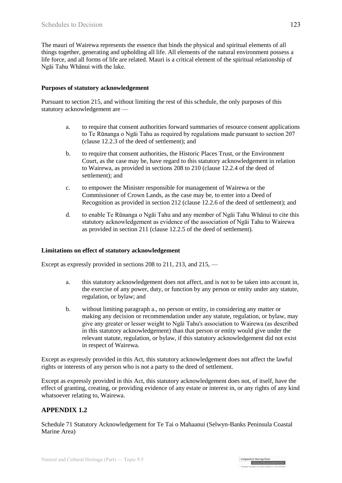The mauri of Wairewa represents the essence that binds the physical and spiritual elements of all things together, generating and upholding all life. All elements of the natural environment possess a life force, and all forms of life are related. Mauri is a critical element of the spiritual relationship of Ngāi Tahu Whānui with the lake.

#### **Purposes of statutory acknowledgement**

Pursuant to section 215, and without limiting the rest of this schedule, the only purposes of this statutory acknowledgement are —

- a. to require that consent authorities forward summaries of resource consent applications to Te Rūnanga o Ngāi Tahu as required by regulations made pursuant to section 207 (clause 12.2.3 of the deed of settlement); and
- b. to require that consent authorities, the Historic Places Trust, or the Environment Court, as the case may be, have regard to this statutory acknowledgement in relation to Wairewa, as provided in sections 208 to 210 (clause 12.2.4 of the deed of settlement); and
- c. to empower the Minister responsible for management of Wairewa or the Commissioner of Crown Lands, as the case may be, to enter into a Deed of Recognition as provided in section 212 (clause 12.2.6 of the deed of settlement); and
- d. to enable Te Rūnanga o Ngāi Tahu and any member of Ngāi Tahu Whānui to cite this statutory acknowledgement as evidence of the association of Ngāi Tahu to Wairewa as provided in section 211 (clause 12.2.5 of the deed of settlement).

#### **Limitations on effect of statutory acknowledgement**

Except as expressly provided in sections 208 to 211, 213, and 215, —

- a. this statutory acknowledgement does not affect, and is not to be taken into account in, the exercise of any power, duty, or function by any person or entity under any statute, regulation, or bylaw; and
- b. without limiting paragraph a., no person or entity, in considering any matter or making any decision or recommendation under any statute, regulation, or bylaw, may give any greater or lesser weight to Ngāi Tahu's association to Wairewa (as described in this statutory acknowledgement) than that person or entity would give under the relevant statute, regulation, or bylaw, if this statutory acknowledgement did not exist in respect of Wairewa.

Except as expressly provided in this Act, this statutory acknowledgement does not affect the lawful rights or interests of any person who is not a party to the deed of settlement.

Except as expressly provided in this Act, this statutory acknowledgement does not, of itself, have the effect of granting, creating, or providing evidence of any estate or interest in, or any rights of any kind whatsoever relating to, Wairewa.

## **APPENDIX 1.2**

Schedule 71 Statutory Acknowledgement for Te Tai o Mahaanui (Selwyn-Banks Peninsula Coastal Marine Area)

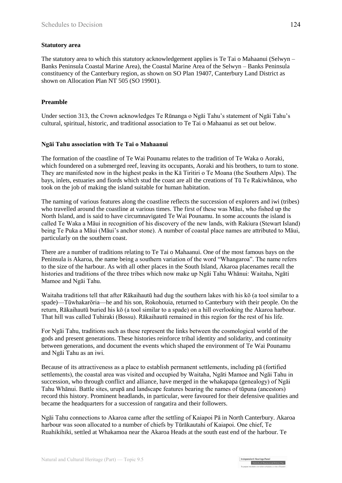#### **Statutory area**

The statutory area to which this statutory acknowledgement applies is Te Tai o Mahaanui (Selwyn – Banks Peninsula Coastal Marine Area), the Coastal Marine Area of the Selwyn – Banks Peninsula constituency of the Canterbury region, as shown on SO Plan 19407, Canterbury Land District as shown on Allocation Plan NT 505 (SO 19901).

### **Preamble**

Under [section 313,](http://www.legislation.govt.nz/act/public/1998/0097/latest/link.aspx?id=DLM430232#DLM430232) the Crown acknowledges Te Rūnanga o Ngāi Tahu's statement of Ngāi Tahu's cultural, spiritual, historic, and traditional association to Te Tai o Mahaanui as set out below.

#### **Ngāi Tahu association with Te Tai o Mahaanui**

The formation of the coastline of Te Wai Pounamu relates to the tradition of Te Waka o Aoraki, which foundered on a submerged reef, leaving its occupants, Aoraki and his brothers, to turn to stone. They are manifested now in the highest peaks in the Kā Tiritiri o Te Moana (the Southern Alps). The bays, inlets, estuaries and fiords which stud the coast are all the creations of Tū Te Rakiwhānoa, who took on the job of making the island suitable for human habitation.

The naming of various features along the coastline reflects the succession of explorers and iwi (tribes) who travelled around the coastline at various times. The first of these was Māui, who fished up the North Island, and is said to have circumnavigated Te Wai Pounamu. In some accounts the island is called Te Waka a Māui in recognition of his discovery of the new lands, with Rakiura (Stewart Island) being Te Puka a Māui (Māui's anchor stone). A number of coastal place names are attributed to Māui, particularly on the southern coast.

There are a number of traditions relating to Te Tai o Mahaanui. One of the most famous bays on the Peninsula is Akaroa, the name being a southern variation of the word "Whangaroa". The name refers to the size of the harbour. As with all other places in the South Island, Akaroa placenames recall the histories and traditions of the three tribes which now make up Ngāi Tahu Whānui: Waitaha, Ngāti Mamoe and Ngāi Tahu.

Waitaha traditions tell that after Rākaihautū had dug the southern lakes with his kō (a tool similar to a spade)—Tūwhakarōria—he and his son, Rokohouia, returned to Canterbury with their people. On the return, Rākaihautū buried his kō (a tool similar to a spade) on a hill overlooking the Akaroa harbour. That hill was called Tuhiraki (Bossu). Rākaihautū remained in this region for the rest of his life.

For Ngāi Tahu, traditions such as these represent the links between the cosmological world of the gods and present generations. These histories reinforce tribal identity and solidarity, and continuity between generations, and document the events which shaped the environment of Te Wai Pounamu and Ngāi Tahu as an iwi.

Because of its attractiveness as a place to establish permanent settlements, including pā (fortified settlements), the coastal area was visited and occupied by Waitaha, Ngāti Mamoe and Ngāi Tahu in succession, who through conflict and alliance, have merged in the whakapapa (genealogy) of Ngāi Tahu Whānui. Battle sites, urupā and landscape features bearing the names of tūpuna (ancestors) record this history. Prominent headlands, in particular, were favoured for their defensive qualities and became the headquarters for a succession of rangatira and their followers.

Ngāi Tahu connections to Akaroa came after the settling of Kaiapoi Pā in North Canterbury. Akaroa harbour was soon allocated to a number of chiefs by Tūrākautahi of Kaiapoi. One chief, Te Ruahikihiki, settled at Whakamoa near the Akaroa Heads at the south east end of the harbour. Te

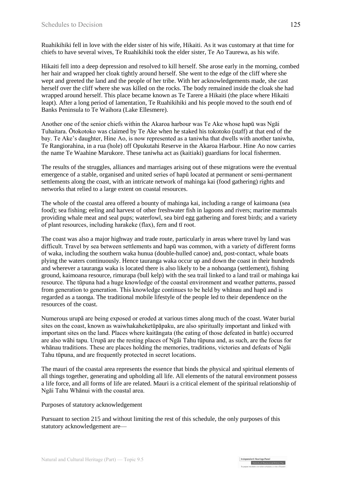Ruahikihiki fell in love with the elder sister of his wife, Hikaiti. As it was customary at that time for chiefs to have several wives, Te Ruahikihiki took the elder sister, Te Ao Taurewa, as his wife.

Hikaiti fell into a deep depression and resolved to kill herself. She arose early in the morning, combed her hair and wrapped her cloak tightly around herself. She went to the edge of the cliff where she wept and greeted the land and the people of her tribe. With her acknowledgements made, she cast herself over the cliff where she was killed on the rocks. The body remained inside the cloak she had wrapped around herself. This place became known as Te Tarere a Hikaiti (the place where Hikaiti leapt). After a long period of lamentation, Te Ruahikihiki and his people moved to the south end of Banks Peninsula to Te Waihora (Lake Ellesmere).

Another one of the senior chiefs within the Akaroa harbour was Te Ake whose hapū was Ngāi Tuhaitara. Ōtokotoko was claimed by Te Ake when he staked his tokotoko (staff) at that end of the bay. Te Ake's daughter, Hine Ao, is now represented as a taniwha that dwells with another taniwha, Te Rangiorahina, in a rua (hole) off Opukutahi Reserve in the Akaroa Harbour. Hine Ao now carries the name Te Waahine Marukore. These taniwha act as (kaitiaki) guardians for local fishermen.

The results of the struggles, alliances and marriages arising out of these migrations were the eventual emergence of a stable, organised and united series of hapū located at permanent or semi-permanent settlements along the coast, with an intricate network of mahinga kai (food gathering) rights and networks that relied to a large extent on coastal resources.

The whole of the coastal area offered a bounty of mahinga kai, including a range of kaimoana (sea food); sea fishing; eeling and harvest of other freshwater fish in lagoons and rivers; marine mammals providing whale meat and seal pups; waterfowl, sea bird egg gathering and forest birds; and a variety of plant resources, including harakeke (flax), fern and tī root.

The coast was also a major highway and trade route, particularly in areas where travel by land was difficult. Travel by sea between settlements and hapū was common, with a variety of different forms of waka, including the southern waka hunua (double-hulled canoe) and, post-contact, whale boats plying the waters continuously. Hence tauranga waka occur up and down the coast in their hundreds and wherever a tauranga waka is located there is also likely to be a nohoanga (settlement), fishing ground, kaimoana resource, rimurapa (bull kelp) with the sea trail linked to a land trail or mahinga kai resource. The tūpuna had a huge knowledge of the coastal environment and weather patterns, passed from generation to generation. This knowledge continues to be held by whānau and hapū and is regarded as a taonga. The traditional mobile lifestyle of the people led to their dependence on the resources of the coast.

Numerous urupā are being exposed or eroded at various times along much of the coast. Water burial sites on the coast, known as waiwhakaheketūpāpaku, are also spiritually important and linked with important sites on the land. Places where kaitāngata (the eating of those defeated in battle) occurred are also wāhi tapu. Urupā are the resting places of Ngāi Tahu tūpuna and, as such, are the focus for whānau traditions. These are places holding the memories, traditions, victories and defeats of Ngāi Tahu tūpuna, and are frequently protected in secret locations.

The mauri of the coastal area represents the essence that binds the physical and spiritual elements of all things together, generating and upholding all life. All elements of the natural environment possess a life force, and all forms of life are related. Mauri is a critical element of the spiritual relationship of Ngāi Tahu Whānui with the coastal area.

Purposes of statutory acknowledgement

Pursuant to [section 215](http://www.legislation.govt.nz/act/public/1998/0097/latest/link.aspx?id=DLM430054#DLM430054) and without limiting the rest of this schedule, the only purposes of this statutory acknowledgement are—

| Independent Hearings Pane